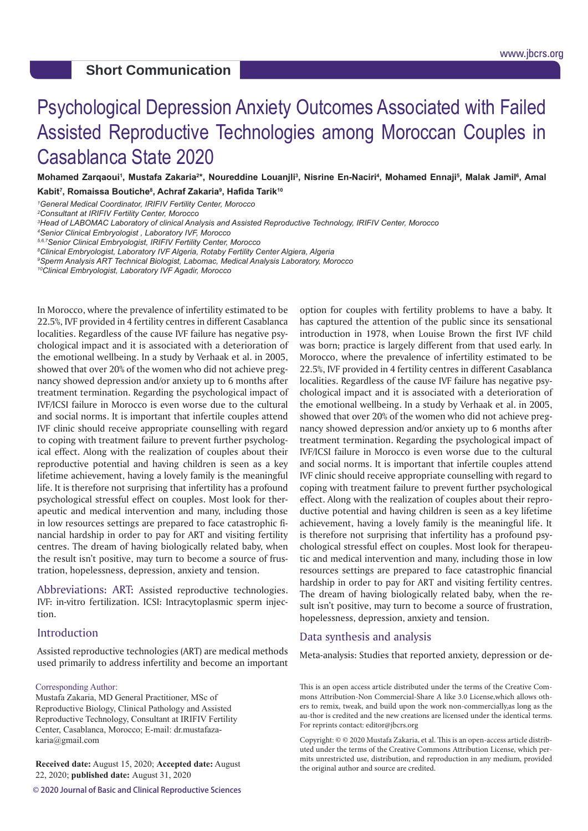# Psychological Depression Anxiety Outcomes Associated with Failed Assisted Reproductive Technologies among Moroccan Couples in Casablanca State 2020

Mohamed Zarqaoui<sup>1</sup>, Mustafa Zakaria<sup>2</sup>\*, Noureddine Louanjli<sup>3</sup>, Nisrine En-Naciri<sup>4</sup>, Mohamed Ennaji<sup>5</sup>, Malak Jamil<sup>6</sup>, Amal **Kabit7 , Romaissa Boutiche8 , Achraf Zakaria9 , Hafida Tarik<sup>10</sup>**

*1 General Medical Coordinator, IRIFIV Fertility Center, Morocco*

*2 Consultant at IRIFIV Fertility Center, Morocco*

*3 Head of LABOMAC Laboratory of clinical Analysis and Assisted Reproductive Technology, IRIFIV Center, Morocco*

*4 Senior Clinical Embryologist , Laboratory IVF, Morocco*

*5,6,7Senior Clinical Embryologist, IRIFIV Fertility Center, Morocco*

*8 Clinical Embryologist, Laboratory IVF Algeria, Rotaby Fertility Center Algiera, Algeria*

*9 Sperm Analysis ART Technical Biologist, Labomac, Medical Analysis Laboratory, Morocco*

*10Clinical Embryologist, Laboratory IVF Agadir, Morocco*

In Morocco, where the prevalence of infertility estimated to be 22.5%, IVF provided in 4 fertility centres in different Casablanca localities. Regardless of the cause IVF failure has negative psychological impact and it is associated with a deterioration of the emotional wellbeing. In a study by Verhaak et al. in 2005, showed that over 20% of the women who did not achieve pregnancy showed depression and/or anxiety up to 6 months after treatment termination. Regarding the psychological impact of IVF/ICSI failure in Morocco is even worse due to the cultural and social norms. It is important that infertile couples attend IVF clinic should receive appropriate counselling with regard to coping with treatment failure to prevent further psychological effect. Along with the realization of couples about their reproductive potential and having children is seen as a key lifetime achievement, having a lovely family is the meaningful life. It is therefore not surprising that infertility has a profound psychological stressful effect on couples. Most look for therapeutic and medical intervention and many, including those in low resources settings are prepared to face catastrophic financial hardship in order to pay for ART and visiting fertility centres. The dream of having biologically related baby, when the result isn't positive, may turn to become a source of frustration, hopelessness, depression, anxiety and tension.

Abbreviations: ART: Assisted reproductive technologies. IVF: in-vitro fertilization. ICSI: Intracytoplasmic sperm injection.

#### Introduction

Assisted reproductive technologies (ART) are medical methods used primarily to address infertility and become an important

#### Corresponding Author:

Mustafa Zakaria, MD General Practitioner, MSc of Reproductive Biology, Clinical Pathology and Assisted Reproductive Technology, Consultant at IRIFIV Fertility Center, Casablanca, Morocco; E-mail: dr.mustafazakaria@gmail.com

**Received date:** August 15, 2020; **Accepted date:** August 22, 2020; **published date:** August 31, 2020

**© 2020 Journal of Basic and Clinical Reproductive Sciences**

option for couples with fertility problems to have a baby. It has captured the attention of the public since its sensational introduction in 1978, when Louise Brown the first IVF child was born; practice is largely different from that used early. In Morocco, where the prevalence of infertility estimated to be 22.5%, IVF provided in 4 fertility centres in different Casablanca localities. Regardless of the cause IVF failure has negative psychological impact and it is associated with a deterioration of the emotional wellbeing. In a study by Verhaak et al. in 2005, showed that over 20% of the women who did not achieve pregnancy showed depression and/or anxiety up to 6 months after treatment termination. Regarding the psychological impact of IVF/ICSI failure in Morocco is even worse due to the cultural and social norms. It is important that infertile couples attend IVF clinic should receive appropriate counselling with regard to coping with treatment failure to prevent further psychological effect. Along with the realization of couples about their reproductive potential and having children is seen as a key lifetime achievement, having a lovely family is the meaningful life. It is therefore not surprising that infertility has a profound psychological stressful effect on couples. Most look for therapeutic and medical intervention and many, including those in low resources settings are prepared to face catastrophic financial hardship in order to pay for ART and visiting fertility centres. The dream of having biologically related baby, when the result isn't positive, may turn to become a source of frustration, hopelessness, depression, anxiety and tension.

#### Data synthesis and analysis

Meta-analysis: Studies that reported anxiety, depression or de-

This is an open access article distributed under the terms of the Creative Commons Attribution-Non Commercial-Share A like 3.0 License,which allows others to remix, tweak, and build upon the work non-commercially,as long as the au-thor is credited and the new creations are licensed under the identical terms. For reprints contact: editor@jbcrs.org

Copyright: © © 2020 Mustafa Zakaria, et al. This is an open-access article distributed under the terms of the Creative Commons Attribution License, which permits unrestricted use, distribution, and reproduction in any medium, provided the original author and source are credited.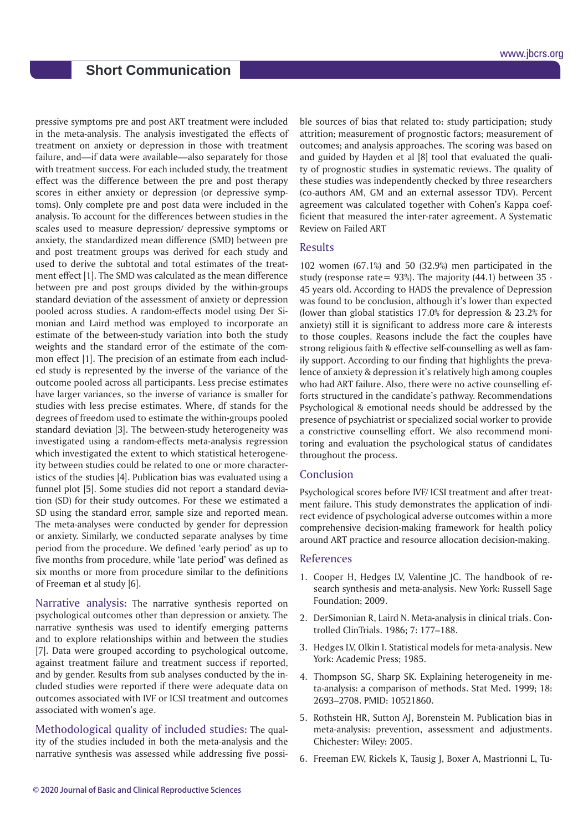pressive symptoms pre and post ART treatment were included in the meta-analysis. The analysis investigated the effects of treatment on anxiety or depression in those with treatment failure, and—if data were available—also separately for those with treatment success. For each included study, the treatment effect was the difference between the pre and post therapy scores in either anxiety or depression (or depressive symptoms). Only complete pre and post data were included in the analysis. To account for the differences between studies in the scales used to measure depression/ depressive symptoms or anxiety, the standardized mean difference (SMD) between pre and post treatment groups was derived for each study and used to derive the subtotal and total estimates of the treatment effect [1]. The SMD was calculated as the mean difference between pre and post groups divided by the within-groups standard deviation of the assessment of anxiety or depression pooled across studies. A random-effects model using Der Simonian and Laird method was employed to incorporate an estimate of the between-study variation into both the study weights and the standard error of the estimate of the common effect [1]. The precision of an estimate from each included study is represented by the inverse of the variance of the outcome pooled across all participants. Less precise estimates have larger variances, so the inverse of variance is smaller for studies with less precise estimates. Where, df stands for the degrees of freedom used to estimate the within-groups pooled standard deviation [3]. The between-study heterogeneity was investigated using a random-effects meta-analysis regression which investigated the extent to which statistical heterogeneity between studies could be related to one or more characteristics of the studies [4]. Publication bias was evaluated using a funnel plot [5]. Some studies did not report a standard deviation (SD) for their study outcomes. For these we estimated a SD using the standard error, sample size and reported mean. The meta-analyses were conducted by gender for depression or anxiety. Similarly, we conducted separate analyses by time period from the procedure. We defined 'early period' as up to five months from procedure, while 'late period' was defined as six months or more from procedure similar to the definitions of Freeman et al study [6].

Narrative analysis: The narrative synthesis reported on psychological outcomes other than depression or anxiety. The narrative synthesis was used to identify emerging patterns and to explore relationships within and between the studies [7]. Data were grouped according to psychological outcome, against treatment failure and treatment success if reported, and by gender. Results from sub analyses conducted by the included studies were reported if there were adequate data on outcomes associated with IVF or ICSI treatment and outcomes associated with women's age.

Methodological quality of included studies: The quality of the studies included in both the meta-analysis and the narrative synthesis was assessed while addressing five possible sources of bias that related to: study participation; study attrition; measurement of prognostic factors; measurement of outcomes; and analysis approaches. The scoring was based on and guided by Hayden et al [8] tool that evaluated the quality of prognostic studies in systematic reviews. The quality of these studies was independently checked by three researchers (co-authors AM, GM and an external assessor TDV). Percent agreement was calculated together with Cohen's Kappa coefficient that measured the inter-rater agreement. A Systematic Review on Failed ART

#### Results

102 women (67.1%) and 50 (32.9%) men participated in the study (response rate=  $93\%$ ). The majority (44.1) between 35 -45 years old. According to HADS the prevalence of Depression was found to be conclusion, although it's lower than expected (lower than global statistics 17.0% for depression & 23.2% for anxiety) still it is significant to address more care & interests to those couples. Reasons include the fact the couples have strong religious faith & effective self-counselling as well as family support. According to our finding that highlights the prevalence of anxiety & depression it's relatively high among couples who had ART failure. Also, there were no active counselling efforts structured in the candidate's pathway. Recommendations Psychological & emotional needs should be addressed by the presence of psychiatrist or specialized social worker to provide a constrictive counselling effort. We also recommend monitoring and evaluation the psychological status of candidates throughout the process.

### Conclusion

Psychological scores before IVF/ ICSI treatment and after treatment failure. This study demonstrates the application of indirect evidence of psychological adverse outcomes within a more comprehensive decision-making framework for health policy around ART practice and resource allocation decision-making.

#### References

- 1. Cooper H, Hedges LV, Valentine JC. The handbook of research synthesis and meta-analysis. New York: Russell Sage Foundation; 2009.
- 2. DerSimonian R, Laird N. Meta-analysis in clinical trials. Controlled ClinTrials. 1986; 7: 177–188.
- 3. Hedges LV, Olkin I. Statistical models for meta-analysis. New York: Academic Press; 1985.
- 4. Thompson SG, Sharp SK. Explaining heterogeneity in meta-analysis: a comparison of methods. Stat Med. 1999; 18: 2693–2708. PMID: 10521860.
- 5. Rothstein HR, Sutton AJ, Borenstein M. Publication bias in meta-analysis: prevention, assessment and adjustments. Chichester: Wiley: 2005.
- 6. Freeman EW, Rickels K, Tausig J, Boxer A, Mastrionni L, Tu-